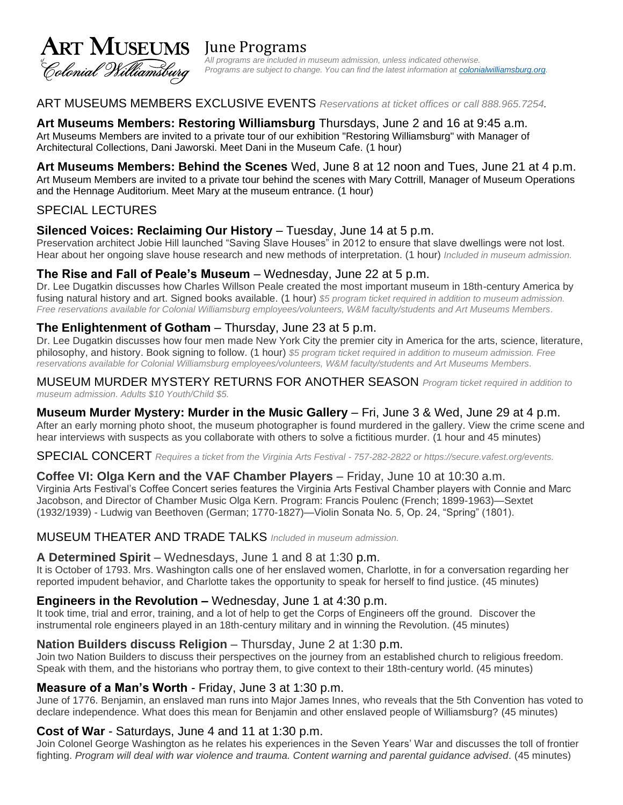

*All programs are included in museum admission, unless indicated otherwise. Programs are subject to change. You can find the latest information at [colonialwilliamsburg.org.](https://colonialwilliamsburg.org/events-calendar/?date=today)* 

#### ART MUSEUMS MEMBERS EXCLUSIVE EVENTS *Reservations at ticket offices or call 888.965.7254.*

**Art Museums Members: Restoring Williamsburg** Thursdays, June 2 and 16 at 9:45 a.m. Art Museums Members are invited to a private tour of our exhibition "Restoring Williamsburg" with Manager of Architectural Collections, Dani Jaworski. Meet Dani in the Museum Cafe. (1 hour)

#### **Art Museums Members: Behind the Scenes** Wed, June 8 at 12 noon and Tues, June 21 at 4 p.m. Art Museum Members are invited to a private tour behind the scenes with Mary Cottrill, Manager of Museum Operations and the Hennage Auditorium. Meet Mary at the museum entrance. (1 hour)

## SPECIAL LECTURES

#### **Silenced Voices: Reclaiming Our History** – Tuesday, June 14 at 5 p.m.

Preservation architect Jobie Hill launched "Saving Slave Houses" in 2012 to ensure that slave dwellings were not lost. Hear about her ongoing slave house research and new methods of interpretation. (1 hour) *Included in museum admission.*

#### **The Rise and Fall of Peale's Museum** – Wednesday, June 22 at 5 p.m.

Dr. Lee Dugatkin discusses how Charles Willson Peale created the most important museum in 18th-century America by fusing natural history and art. Signed books available. (1 hour) \$5 program ticket required in addition to museum admission. *Free reservations available for Colonial Williamsburg employees/volunteers, W&M faculty/students and Art Museums Members.*

#### **The Enlightenment of Gotham** – Thursday, June 23 at 5 p.m.

Dr. Lee Dugatkin discusses how four men made New York City the premier city in America for the arts, science, literature, philosophy, and history. Book signing to follow. (1 hour) *\$5 program ticket required in addition to museum admission. Free reservations available for Colonial Williamsburg employees/volunteers, W&M faculty/students and Art Museums Members.*

MUSEUM MURDER MYSTERY RETURNS FOR ANOTHER SEASON *Program ticket required in addition to museum admission. Adults \$10 Youth/Child \$5.*

# **Museum Murder Mystery: Murder in the Music Gallery** – Fri, June 3 & Wed, June 29 at 4 p.m.

After an early morning photo shoot, the museum photographer is found murdered in the gallery. View the crime scene and hear interviews with suspects as you collaborate with others to solve a fictitious murder. (1 hour and 45 minutes)

SPECIAL CONCERT *Requires a ticket from the Virginia Arts Festival - 757-282-2822 or https://secure.vafest.org/events.*

#### **Coffee VI: Olga Kern and the VAF Chamber Players** – Friday, June 10 at 10:30 a.m.

Virginia Arts Festival's Coffee Concert series features the Virginia Arts Festival Chamber players with Connie and Marc Jacobson, and Director of Chamber Music Olga Kern. Program: Francis Poulenc (French; 1899-1963)—Sextet (1932/1939) - Ludwig van Beethoven (German; 1770-1827)—Violin Sonata No. 5, Op. 24, "Spring" (1801).

#### MUSEUM THEATER AND TRADE TALKS *Included in museum admission.*

#### **A Determined Spirit** – Wednesdays, June 1 and 8 at 1:30 p.m.

It is October of 1793. Mrs. Washington calls one of her enslaved women, Charlotte, in for a conversation regarding her reported impudent behavior, and Charlotte takes the opportunity to speak for herself to find justice. (45 minutes)

#### **Engineers in the Revolution –** Wednesday, June 1 at 4:30 p.m.

It took time, trial and error, training, and a lot of help to get the Corps of Engineers off the ground. Discover the instrumental role engineers played in an 18th-century military and in winning the Revolution. (45 minutes)

#### **Nation Builders discuss Religion** – Thursday, June 2 at 1:30 p.m.

Join two Nation Builders to discuss their perspectives on the journey from an established church to religious freedom. Speak with them, and the historians who portray them, to give context to their 18th-century world. (45 minutes)

#### **Measure of a Man's Worth** - Friday, June 3 at 1:30 p.m.

June of 1776. Benjamin, an enslaved man runs into Major James Innes, who reveals that the 5th Convention has voted to declare independence. What does this mean for Benjamin and other enslaved people of Williamsburg? (45 minutes)

#### **Cost of War** - Saturdays, June 4 and 11 at 1:30 p.m.

Join Colonel George Washington as he relates his experiences in the Seven Years' War and discusses the toll of frontier fighting. *Program will deal with war violence and trauma. Content warning and parental guidance advised.* (45 minutes)